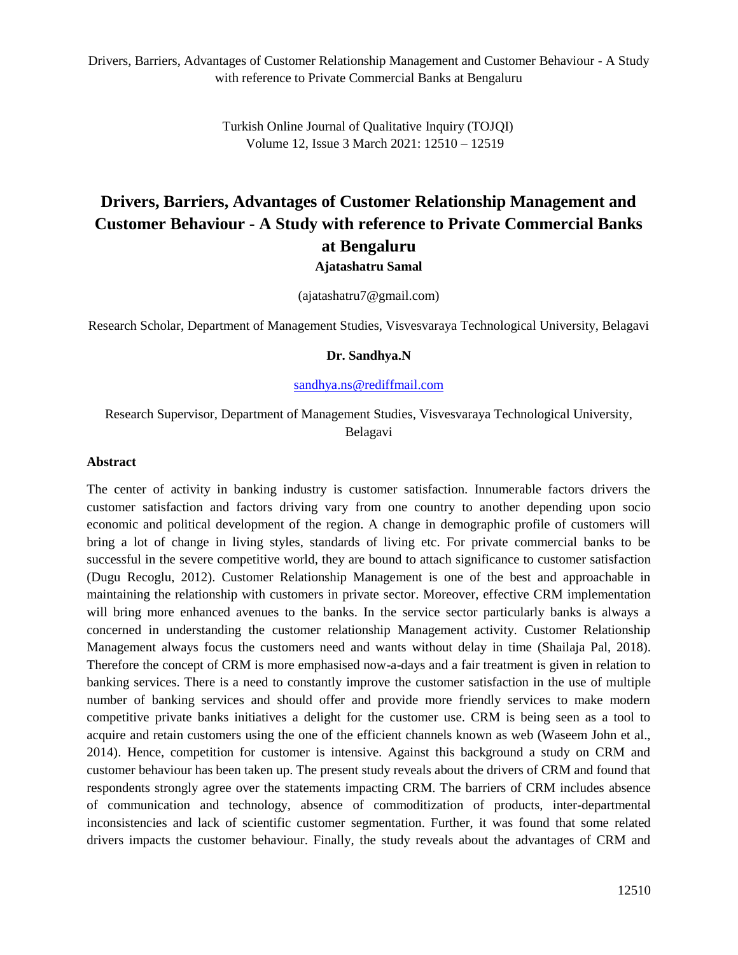> Turkish Online Journal of Qualitative Inquiry (TOJQI) Volume 12, Issue 3 March 2021: 12510 – 12519

# **Drivers, Barriers, Advantages of Customer Relationship Management and Customer Behaviour - A Study with reference to Private Commercial Banks at Bengaluru**

**Ajatashatru Samal**

(ajatashatru7@gmail.com)

Research Scholar, Department of Management Studies, Visvesvaraya Technological University, Belagavi

#### **Dr. Sandhya.N**

[sandhya.ns@rediffmail.com](mailto:sandhya.ns@rediffmail.com)

## Research Supervisor, Department of Management Studies, Visvesvaraya Technological University, Belagavi

#### **Abstract**

The center of activity in banking industry is customer satisfaction. Innumerable factors drivers the customer satisfaction and factors driving vary from one country to another depending upon socio economic and political development of the region. A change in demographic profile of customers will bring a lot of change in living styles, standards of living etc. For private commercial banks to be successful in the severe competitive world, they are bound to attach significance to customer satisfaction (Dugu Recoglu, 2012). Customer Relationship Management is one of the best and approachable in maintaining the relationship with customers in private sector. Moreover, effective CRM implementation will bring more enhanced avenues to the banks. In the service sector particularly banks is always a concerned in understanding the customer relationship Management activity. Customer Relationship Management always focus the customers need and wants without delay in time (Shailaja Pal, 2018). Therefore the concept of CRM is more emphasised now-a-days and a fair treatment is given in relation to banking services. There is a need to constantly improve the customer satisfaction in the use of multiple number of banking services and should offer and provide more friendly services to make modern competitive private banks initiatives a delight for the customer use. CRM is being seen as a tool to acquire and retain customers using the one of the efficient channels known as web (Waseem John et al., 2014). Hence, competition for customer is intensive. Against this background a study on CRM and customer behaviour has been taken up. The present study reveals about the drivers of CRM and found that respondents strongly agree over the statements impacting CRM. The barriers of CRM includes absence of communication and technology, absence of commoditization of products, inter-departmental inconsistencies and lack of scientific customer segmentation. Further, it was found that some related drivers impacts the customer behaviour. Finally, the study reveals about the advantages of CRM and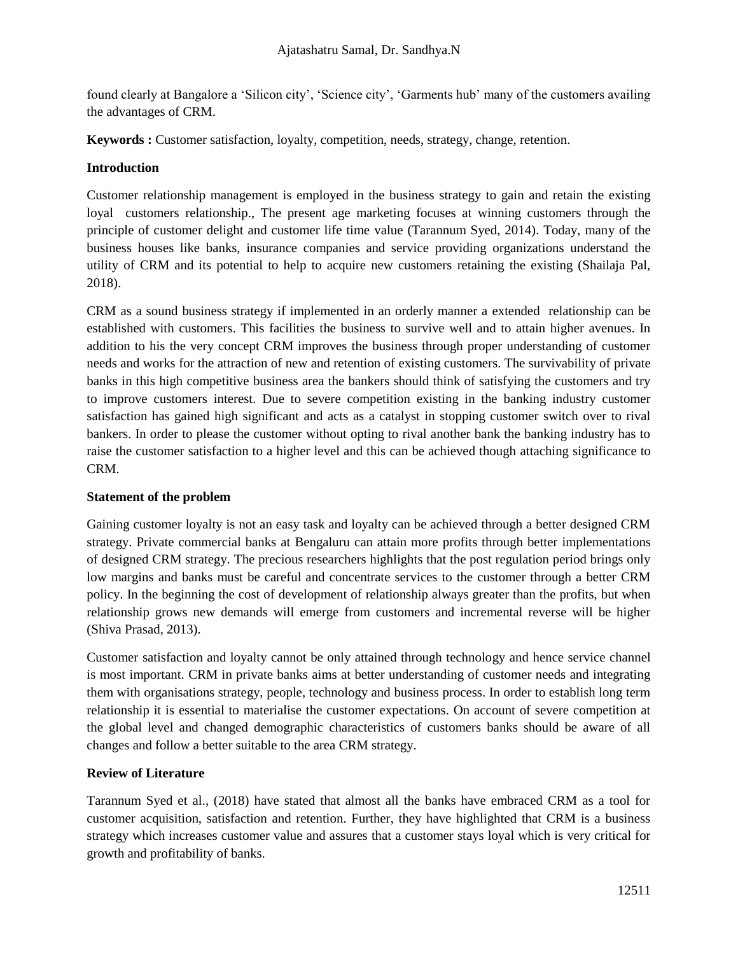found clearly at Bangalore a 'Silicon city', 'Science city', 'Garments hub' many of the customers availing the advantages of CRM.

**Keywords :** Customer satisfaction, loyalty, competition, needs, strategy, change, retention.

## **Introduction**

Customer relationship management is employed in the business strategy to gain and retain the existing loyal customers relationship., The present age marketing focuses at winning customers through the principle of customer delight and customer life time value (Tarannum Syed, 2014). Today, many of the business houses like banks, insurance companies and service providing organizations understand the utility of CRM and its potential to help to acquire new customers retaining the existing (Shailaja Pal, 2018).

CRM as a sound business strategy if implemented in an orderly manner a extended relationship can be established with customers. This facilities the business to survive well and to attain higher avenues. In addition to his the very concept CRM improves the business through proper understanding of customer needs and works for the attraction of new and retention of existing customers. The survivability of private banks in this high competitive business area the bankers should think of satisfying the customers and try to improve customers interest. Due to severe competition existing in the banking industry customer satisfaction has gained high significant and acts as a catalyst in stopping customer switch over to rival bankers. In order to please the customer without opting to rival another bank the banking industry has to raise the customer satisfaction to a higher level and this can be achieved though attaching significance to CRM.

## **Statement of the problem**

Gaining customer loyalty is not an easy task and loyalty can be achieved through a better designed CRM strategy. Private commercial banks at Bengaluru can attain more profits through better implementations of designed CRM strategy. The precious researchers highlights that the post regulation period brings only low margins and banks must be careful and concentrate services to the customer through a better CRM policy. In the beginning the cost of development of relationship always greater than the profits, but when relationship grows new demands will emerge from customers and incremental reverse will be higher (Shiva Prasad, 2013).

Customer satisfaction and loyalty cannot be only attained through technology and hence service channel is most important. CRM in private banks aims at better understanding of customer needs and integrating them with organisations strategy, people, technology and business process. In order to establish long term relationship it is essential to materialise the customer expectations. On account of severe competition at the global level and changed demographic characteristics of customers banks should be aware of all changes and follow a better suitable to the area CRM strategy.

# **Review of Literature**

Tarannum Syed et al., (2018) have stated that almost all the banks have embraced CRM as a tool for customer acquisition, satisfaction and retention. Further, they have highlighted that CRM is a business strategy which increases customer value and assures that a customer stays loyal which is very critical for growth and profitability of banks.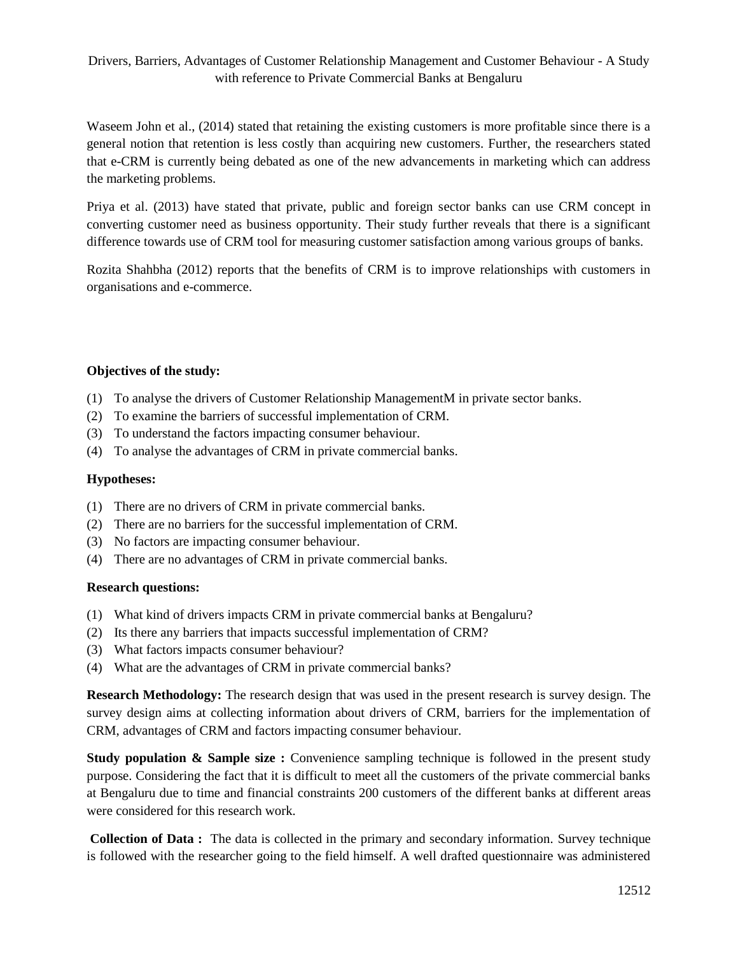Waseem John et al., (2014) stated that retaining the existing customers is more profitable since there is a general notion that retention is less costly than acquiring new customers. Further, the researchers stated that e-CRM is currently being debated as one of the new advancements in marketing which can address the marketing problems.

Priya et al. (2013) have stated that private, public and foreign sector banks can use CRM concept in converting customer need as business opportunity. Their study further reveals that there is a significant difference towards use of CRM tool for measuring customer satisfaction among various groups of banks.

Rozita Shahbha (2012) reports that the benefits of CRM is to improve relationships with customers in organisations and e-commerce.

## **Objectives of the study:**

- (1) To analyse the drivers of Customer Relationship ManagementM in private sector banks.
- (2) To examine the barriers of successful implementation of CRM.
- (3) To understand the factors impacting consumer behaviour.
- (4) To analyse the advantages of CRM in private commercial banks.

#### **Hypotheses:**

- (1) There are no drivers of CRM in private commercial banks.
- (2) There are no barriers for the successful implementation of CRM.
- (3) No factors are impacting consumer behaviour.
- (4) There are no advantages of CRM in private commercial banks.

## **Research questions:**

- (1) What kind of drivers impacts CRM in private commercial banks at Bengaluru?
- (2) Its there any barriers that impacts successful implementation of CRM?
- (3) What factors impacts consumer behaviour?
- (4) What are the advantages of CRM in private commercial banks?

**Research Methodology:** The research design that was used in the present research is survey design. The survey design aims at collecting information about drivers of CRM, barriers for the implementation of CRM, advantages of CRM and factors impacting consumer behaviour.

**Study population & Sample size :** Convenience sampling technique is followed in the present study purpose. Considering the fact that it is difficult to meet all the customers of the private commercial banks at Bengaluru due to time and financial constraints 200 customers of the different banks at different areas were considered for this research work.

**Collection of Data :** The data is collected in the primary and secondary information. Survey technique is followed with the researcher going to the field himself. A well drafted questionnaire was administered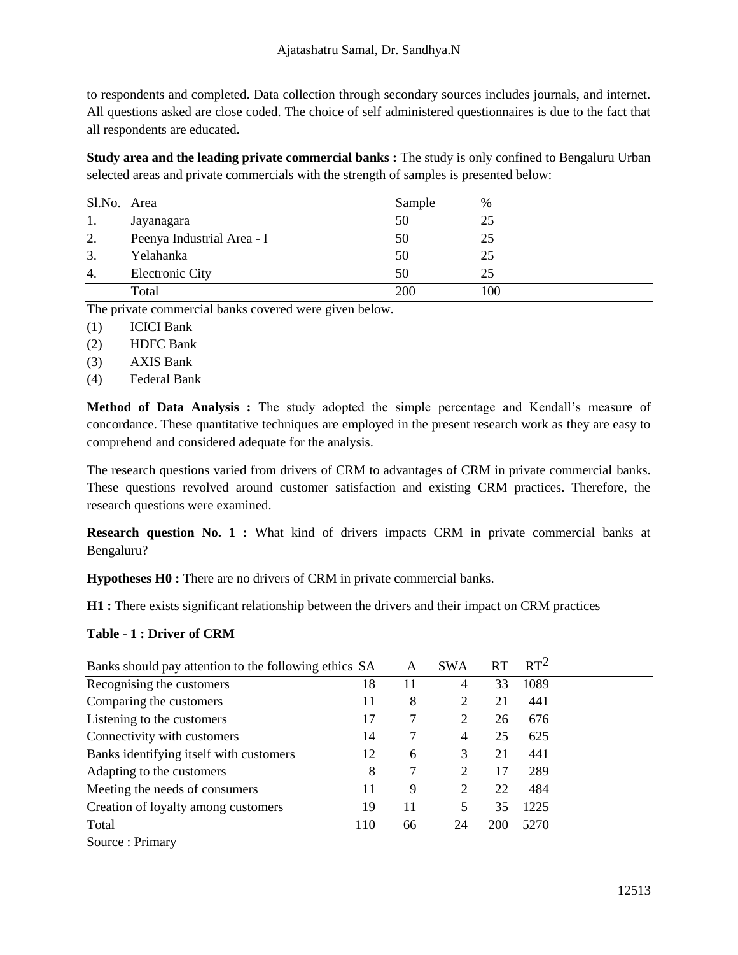to respondents and completed. Data collection through secondary sources includes journals, and internet. All questions asked are close coded. The choice of self administered questionnaires is due to the fact that all respondents are educated.

**Study area and the leading private commercial banks :** The study is only confined to Bengaluru Urban selected areas and private commercials with the strength of samples is presented below:

| Sl.No. Area |                            | Sample     | $\%$ |
|-------------|----------------------------|------------|------|
| 1.          | Jayanagara                 | 50         | 25   |
| 2.          | Peenya Industrial Area - I | 50         | 25   |
| 3.          | Yelahanka                  | 50         | 25   |
| 4.          | <b>Electronic City</b>     | 50         | 25   |
|             | Total                      | <b>200</b> | 100  |

The private commercial banks covered were given below.

- (1) ICICI Bank
- (2) HDFC Bank
- (3) AXIS Bank
- (4) Federal Bank

**Method of Data Analysis :** The study adopted the simple percentage and Kendall's measure of concordance. These quantitative techniques are employed in the present research work as they are easy to comprehend and considered adequate for the analysis.

The research questions varied from drivers of CRM to advantages of CRM in private commercial banks. These questions revolved around customer satisfaction and existing CRM practices. Therefore, the research questions were examined.

**Research question No. 1 :** What kind of drivers impacts CRM in private commercial banks at Bengaluru?

**Hypotheses H0 :** There are no drivers of CRM in private commercial banks.

**H1 :** There exists significant relationship between the drivers and their impact on CRM practices

## **Table - 1 : Driver of CRM**

| Banks should pay attention to the following ethics SA |     | A  | <b>SWA</b>     | RT         | $RT^2$ |
|-------------------------------------------------------|-----|----|----------------|------------|--------|
| Recognising the customers                             | 18  | 11 | 4              | 33         | 1089   |
| Comparing the customers                               | 11  | 8  | 2              | 21         | 441    |
| Listening to the customers                            | 17  | 7  | 2              | 26         | 676    |
| Connectivity with customers                           | 14  |    | $\overline{4}$ | 25         | 625    |
| Banks identifying itself with customers               | 12  | 6  | 3              | 21         | 441    |
| Adapting to the customers                             | 8   | 7  | 2              | 17         | 289    |
| Meeting the needs of consumers                        | 11  | 9  | 2              | 22         | 484    |
| Creation of loyalty among customers                   | 19  | 11 | 5              | 35         | 1225   |
| Total                                                 | 110 | 66 | 24             | <b>200</b> | 5270   |
|                                                       |     |    |                |            |        |

Source : Primary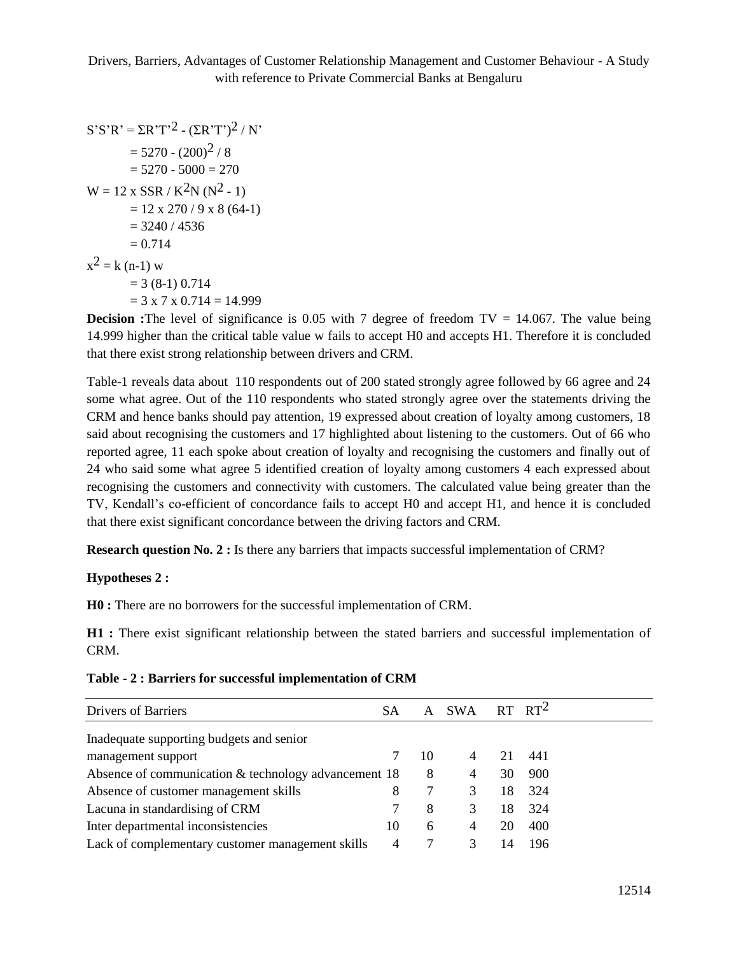$S'S'R' = \Sigma R'T'2 - (\Sigma R'T')^2 / N'$  $= 5270 - (200)^2 / 8$  $= 5270 - 5000 = 270$  $W = 12 \times \text{SSR} / K^2N (N^2 - 1)$  $= 12 \times 270 / 9 \times 8 (64-1)$  $= 3240 / 4536$  $= 0.714$  $x^2 = k (n-1) w$  $= 3 (8-1) 0.714$  $= 3 \times 7 \times 0.714 = 14.999$ 

**Decision :**The level of significance is 0.05 with 7 degree of freedom TV = 14.067. The value being 14.999 higher than the critical table value w fails to accept H0 and accepts H1. Therefore it is concluded that there exist strong relationship between drivers and CRM.

Table-1 reveals data about 110 respondents out of 200 stated strongly agree followed by 66 agree and 24 some what agree. Out of the 110 respondents who stated strongly agree over the statements driving the CRM and hence banks should pay attention, 19 expressed about creation of loyalty among customers, 18 said about recognising the customers and 17 highlighted about listening to the customers. Out of 66 who reported agree, 11 each spoke about creation of loyalty and recognising the customers and finally out of 24 who said some what agree 5 identified creation of loyalty among customers 4 each expressed about recognising the customers and connectivity with customers. The calculated value being greater than the TV, Kendall's co-efficient of concordance fails to accept H0 and accept H1, and hence it is concluded that there exist significant concordance between the driving factors and CRM.

**Research question No. 2 :** Is there any barriers that impacts successful implementation of CRM?

## **Hypotheses 2 :**

**H0 :** There are no borrowers for the successful implementation of CRM.

**H1 :** There exist significant relationship between the stated barriers and successful implementation of CRM.

|  |  |  |  |  |  | Table - 2 : Barriers for successful implementation of CRM |  |  |
|--|--|--|--|--|--|-----------------------------------------------------------|--|--|
|--|--|--|--|--|--|-----------------------------------------------------------|--|--|

| <b>Drivers of Barriers</b>                           | SА | A  | <b>SWA</b> |    | $RT$ $RT^2$ |
|------------------------------------------------------|----|----|------------|----|-------------|
| Inadequate supporting budgets and senior             |    |    |            |    |             |
| management support                                   |    | 10 |            |    | 441         |
| Absence of communication & technology advancement 18 |    | 8  | 4          | 30 | 900         |
| Absence of customer management skills                | 8  |    | 3          | 18 | 324         |
| Lacuna in standardising of CRM                       |    | 8  | 3          | 18 | 324         |
| Inter departmental inconsistencies                   | 10 | 6  | 4          | 20 | 400         |
| Lack of complementary customer management skills     | 4  |    |            |    | 196         |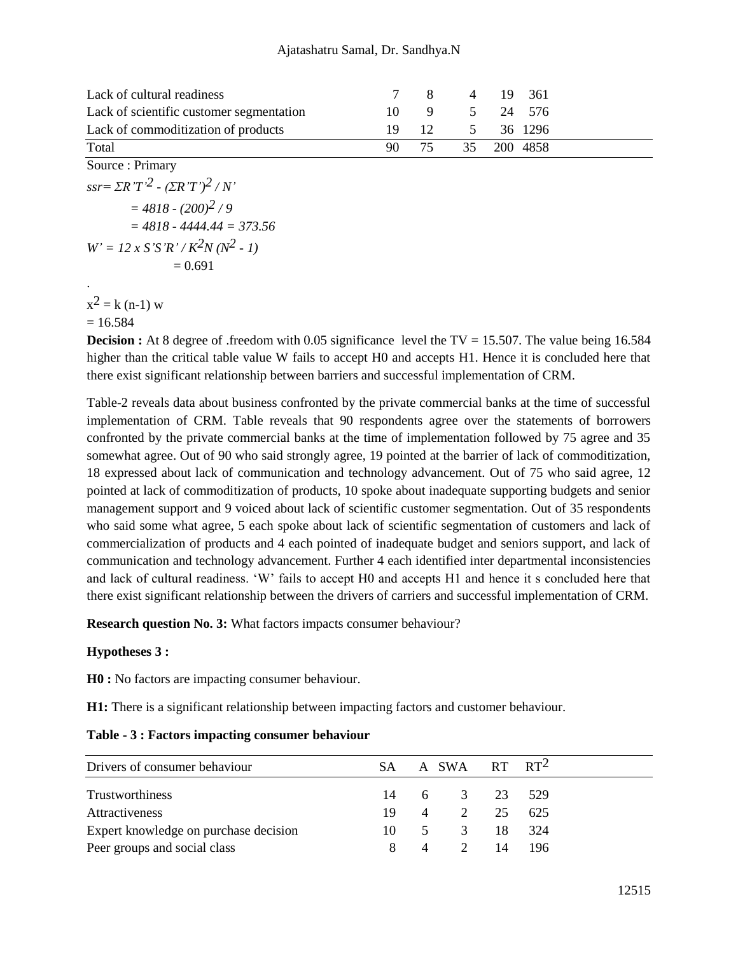| Lack of cultural readiness               | 7 8   | 4 19 361        |  |
|------------------------------------------|-------|-----------------|--|
| Lack of scientific customer segmentation |       | 10 9 5 24 576   |  |
| Lack of commoditization of products      |       | 19 12 5 36 1296 |  |
| Total                                    | 90 75 | 35 200 4858     |  |

Source : Primary *ssr= ΣR'T' 2 - (ΣR'T') 2 / N'*  $= 4818 - (200)^2 / 9$ *= 4818 - 4444.44 = 373.56*  $W' = 12 \times S'S'R' / K^2N (N^2 - 1)$  $= 0.691$ .

 $x^2 = k (n-1) w$  $= 16.584$ 

**Decision :** At 8 degree of .freedom with 0.05 significance level the TV = 15.507. The value being 16.584 higher than the critical table value W fails to accept H0 and accepts H1. Hence it is concluded here that there exist significant relationship between barriers and successful implementation of CRM.

Table-2 reveals data about business confronted by the private commercial banks at the time of successful implementation of CRM. Table reveals that 90 respondents agree over the statements of borrowers confronted by the private commercial banks at the time of implementation followed by 75 agree and 35 somewhat agree. Out of 90 who said strongly agree, 19 pointed at the barrier of lack of commoditization, 18 expressed about lack of communication and technology advancement. Out of 75 who said agree, 12 pointed at lack of commoditization of products, 10 spoke about inadequate supporting budgets and senior management support and 9 voiced about lack of scientific customer segmentation. Out of 35 respondents who said some what agree, 5 each spoke about lack of scientific segmentation of customers and lack of commercialization of products and 4 each pointed of inadequate budget and seniors support, and lack of communication and technology advancement. Further 4 each identified inter departmental inconsistencies and lack of cultural readiness. 'W' fails to accept H0 and accepts H1 and hence it s concluded here that there exist significant relationship between the drivers of carriers and successful implementation of CRM.

**Research question No. 3:** What factors impacts consumer behaviour?

## **Hypotheses 3 :**

**H0 :** No factors are impacting consumer behaviour.

**H1:** There is a significant relationship between impacting factors and customer behaviour.

| Drivers of consumer behaviour         | SA – |   |     | A SWA RT RT <sup>2</sup> |        |
|---------------------------------------|------|---|-----|--------------------------|--------|
| Trustworthiness                       |      |   |     | 14 6 3 23 529            |        |
| Attractiveness                        | 19   |   |     | 4 2 25                   | 625    |
| Expert knowledge on purchase decision | 10   |   | 5 3 |                          | 18 324 |
| Peer groups and social class          | 8    | 4 | 2   | 14                       | -196   |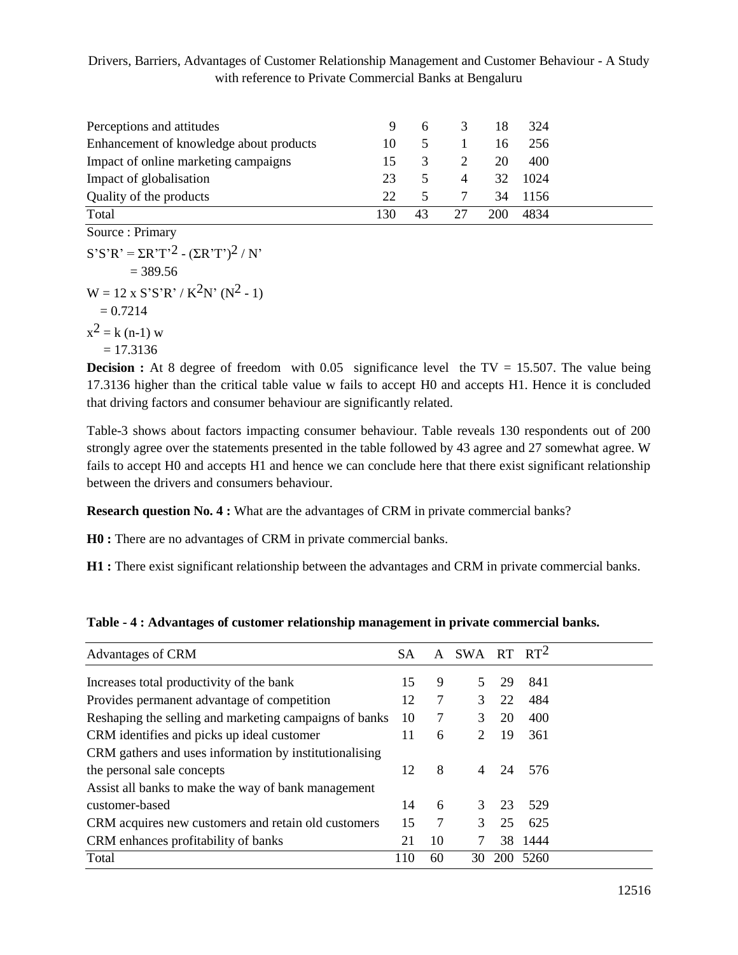| Perceptions and attitudes               | 9   | 6.            | $\mathcal{E}$  | -18 | -324 |
|-----------------------------------------|-----|---------------|----------------|-----|------|
| Enhancement of knowledge about products | 10  | $\mathcal{F}$ |                | 16  | 256  |
| Impact of online marketing campaigns    | 15  | 3             |                | 20  | 400  |
| Impact of globalisation                 | 23  |               | $\overline{4}$ | 32  | 1024 |
| Quality of the products                 | 22  | $\mathcal{F}$ |                | 34  | 1156 |
| Total                                   | 130 | 43            | 27             | 200 | 4834 |

Source : Primary  $S'S'R' = \Sigma R'T'^{2} - (\Sigma R'T')^{2} / N'$  $= 389.56$  $W = 12 \times S'S'R' / K^2N' (N^2 - 1)$  $= 0.7214$  $x^2 = k (n-1) w$ 

 $= 17.3136$ 

**Decision :** At 8 degree of freedom with 0.05 significance level the TV = 15.507. The value being 17.3136 higher than the critical table value w fails to accept H0 and accepts H1. Hence it is concluded that driving factors and consumer behaviour are significantly related.

Table-3 shows about factors impacting consumer behaviour. Table reveals 130 respondents out of 200 strongly agree over the statements presented in the table followed by 43 agree and 27 somewhat agree. W fails to accept H0 and accepts H1 and hence we can conclude here that there exist significant relationship between the drivers and consumers behaviour.

**Research question No. 4 :** What are the advantages of CRM in private commercial banks?

**H0 :** There are no advantages of CRM in private commercial banks.

**H1 :** There exist significant relationship between the advantages and CRM in private commercial banks.

**Table - 4 : Advantages of customer relationship management in private commercial banks.**

| Advantages of CRM                                      | <b>SA</b> |    | A SWA RT RT <sup>2</sup> |    |          |  |
|--------------------------------------------------------|-----------|----|--------------------------|----|----------|--|
| Increases total productivity of the bank               | 15        | 9  |                          | 29 | 841      |  |
| Provides permanent advantage of competition            | 12        | 7  | 3                        | 22 | 484      |  |
| Reshaping the selling and marketing campaigns of banks | 10        | 7  | 3                        | 20 | 400      |  |
| CRM identifies and picks up ideal customer             | 11        | 6  | 2                        | 19 | 361      |  |
| CRM gathers and uses information by institutionalising |           |    |                          |    |          |  |
| the personal sale concepts                             | 12        | 8  | 4                        | 24 | 576      |  |
| Assist all banks to make the way of bank management    |           |    |                          |    |          |  |
| customer-based                                         | 14        | 6  | 3                        | 23 | 529      |  |
| CRM acquires new customers and retain old customers    | 15        | 7  | 3                        | 25 | 625      |  |
| CRM enhances profitability of banks                    | 21        | 10 |                          |    | 38 1444  |  |
| Total                                                  | 110       | 60 | 30                       |    | 200 5260 |  |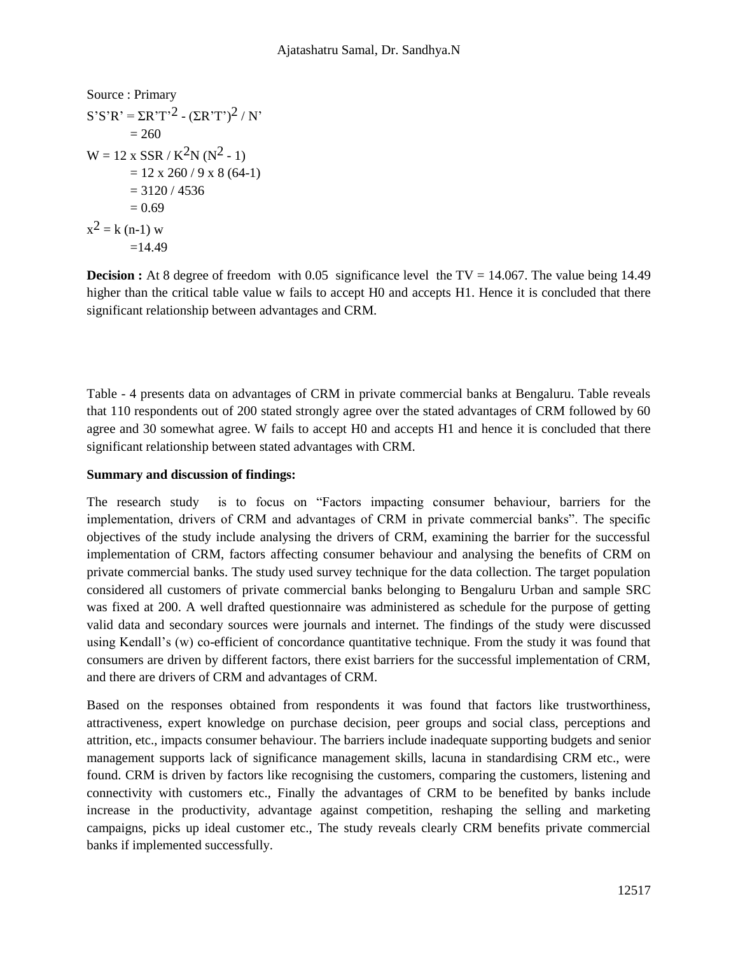Source: Primary  
\n
$$
S'S'R' = \Sigma R'T'^{2} - (\Sigma R'T')^{2} / N'
$$
\n
$$
= 260
$$
\n
$$
W = 12 \times \text{SSR} / K^{2}N (N^{2} - 1)
$$
\n
$$
= 12 \times 260 / 9 \times 8 (64-1)
$$
\n
$$
= 3120 / 4536
$$
\n
$$
= 0.69
$$
\n
$$
x^{2} = k (n-1) w
$$
\n
$$
= 14.49
$$

**Decision :** At 8 degree of freedom with 0.05 significance level the TV = 14.067. The value being 14.49 higher than the critical table value w fails to accept H0 and accepts H1. Hence it is concluded that there significant relationship between advantages and CRM.

Table - 4 presents data on advantages of CRM in private commercial banks at Bengaluru. Table reveals that 110 respondents out of 200 stated strongly agree over the stated advantages of CRM followed by 60 agree and 30 somewhat agree. W fails to accept H0 and accepts H1 and hence it is concluded that there significant relationship between stated advantages with CRM.

## **Summary and discussion of findings:**

The research study is to focus on "Factors impacting consumer behaviour, barriers for the implementation, drivers of CRM and advantages of CRM in private commercial banks". The specific objectives of the study include analysing the drivers of CRM, examining the barrier for the successful implementation of CRM, factors affecting consumer behaviour and analysing the benefits of CRM on private commercial banks. The study used survey technique for the data collection. The target population considered all customers of private commercial banks belonging to Bengaluru Urban and sample SRC was fixed at 200. A well drafted questionnaire was administered as schedule for the purpose of getting valid data and secondary sources were journals and internet. The findings of the study were discussed using Kendall's (w) co-efficient of concordance quantitative technique. From the study it was found that consumers are driven by different factors, there exist barriers for the successful implementation of CRM, and there are drivers of CRM and advantages of CRM.

Based on the responses obtained from respondents it was found that factors like trustworthiness, attractiveness, expert knowledge on purchase decision, peer groups and social class, perceptions and attrition, etc., impacts consumer behaviour. The barriers include inadequate supporting budgets and senior management supports lack of significance management skills, lacuna in standardising CRM etc., were found. CRM is driven by factors like recognising the customers, comparing the customers, listening and connectivity with customers etc., Finally the advantages of CRM to be benefited by banks include increase in the productivity, advantage against competition, reshaping the selling and marketing campaigns, picks up ideal customer etc., The study reveals clearly CRM benefits private commercial banks if implemented successfully.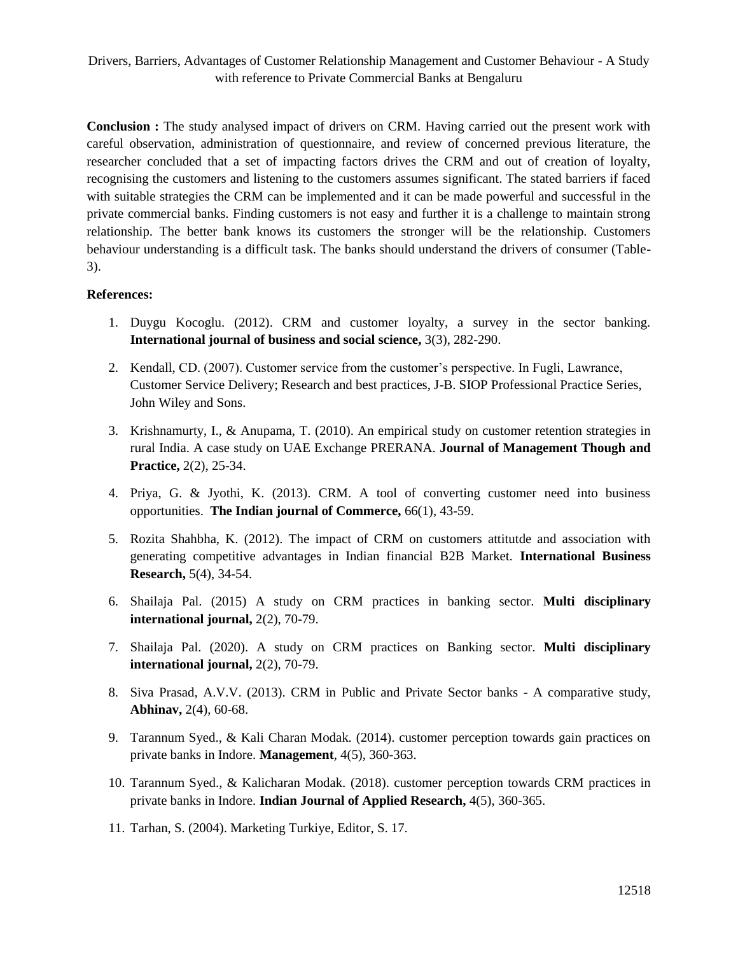**Conclusion :** The study analysed impact of drivers on CRM. Having carried out the present work with careful observation, administration of questionnaire, and review of concerned previous literature, the researcher concluded that a set of impacting factors drives the CRM and out of creation of loyalty, recognising the customers and listening to the customers assumes significant. The stated barriers if faced with suitable strategies the CRM can be implemented and it can be made powerful and successful in the private commercial banks. Finding customers is not easy and further it is a challenge to maintain strong relationship. The better bank knows its customers the stronger will be the relationship. Customers behaviour understanding is a difficult task. The banks should understand the drivers of consumer (Table-3).

## **References:**

- 1. Duygu Kocoglu. (2012). CRM and customer loyalty, a survey in the sector banking. **International journal of business and social science,** 3(3), 282-290.
- 2. Kendall, CD. (2007). Customer service from the customer's perspective. In Fugli, Lawrance, Customer Service Delivery; Research and best practices, J-B. SIOP Professional Practice Series, John Wiley and Sons.
- 3. Krishnamurty, I., & Anupama, T. (2010). An empirical study on customer retention strategies in rural India. A case study on UAE Exchange PRERANA. **Journal of Management Though and Practice,** 2(2), 25-34.
- 4. Priya, G. & Jyothi, K. (2013). CRM. A tool of converting customer need into business opportunities. **The Indian journal of Commerce,** 66(1), 43-59.
- 5. Rozita Shahbha, K. (2012). The impact of CRM on customers attitutde and association with generating competitive advantages in Indian financial B2B Market. **International Business Research,** 5(4), 34-54.
- 6. Shailaja Pal. (2015) A study on CRM practices in banking sector. **Multi disciplinary international journal,** 2(2), 70-79.
- 7. Shailaja Pal. (2020). A study on CRM practices on Banking sector. **Multi disciplinary international journal,** 2(2), 70-79.
- 8. Siva Prasad, A.V.V. (2013). CRM in Public and Private Sector banks A comparative study, **Abhinav,** 2(4), 60-68.
- 9. Tarannum Syed., & Kali Charan Modak. (2014). customer perception towards gain practices on private banks in Indore. **Management**, 4(5), 360-363.
- 10. Tarannum Syed., & Kalicharan Modak. (2018). customer perception towards CRM practices in private banks in Indore. **Indian Journal of Applied Research,** 4(5), 360-365.
- 11. Tarhan, S. (2004). Marketing Turkiye, Editor, S. 17.